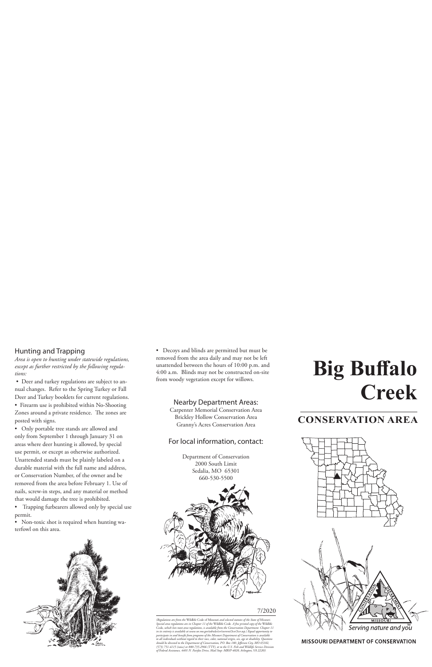### Hunting and Trapping

*Area is open to hunting under statewide regulations, except as further restricted by the following regulations:*

• Deer and turkey regulations are subject to annual changes. Refer to the Spring Turkey or Fall Deer and Turkey booklets for current regulations.

• Firearm use is prohibited within No-Shooting Zones around a private residence. The zones are posted with signs.

• Only portable tree stands are allowed and only from September 1 through January 31 on areas where deer hunting is allowed, by special use permit, or except as otherwise authorized. Unattended stands must be plainly labeled on a durable material with the full name and address, or Conservation Number, of the owner and be removed from the area before February 1. Use of nails, screw-in steps, and any material or method that would damage the tree is prohibited.

• Trapping furbearers allowed only by special use permit.

• Non-toxic shot is required when hunting waterfowl on this area.



• Decoys and blinds are permitted but must be removed from the area daily and may not be left unattended between the hours of 10:00 p.m. and 4:00 a.m. Blinds may not be constructed on-site from woody vegetation except for willows.

### Nearby Department Areas:

Carpenter Memorial Conservation Area Brickley Hollow Conservation Area Granny's Acres Conservation Area

### For local information, contact:

Department of Conservation 2000 South Limit Sedalia, MO 65301 660-530-5500



#### 7/2020

*(Regulations are from the* Wildlife Code of Missouri *and selected statutes of the State of Missouri. Special area regulations are in Chapter 11 of the* Wildlife Code*. A free printed copy of the* Wildlife Code*, which lists most area regulations, is available from the Conservation Department. Chapter 11 in its entirety is available at www.sos.mo.gov/adrules/csr/current/3csr/3csr.asp.) Equal opportunity to participate in and benefit from programs of the Missouri Department of Conservation is available to all individuals without regard to their race, color, national origin, sex, age or disability. Questions should be directed to the Department of Conservation, P.O. Box 180, Jefferson City, MO 65102, (573) 751-4115 (voice) or 800-735-2966 (TTY), or to the U.S. Fish and Wildlife Service Division of Federal Assistance, 4401 N. Fairfax Drive, Mail Stop: MBSP-4020, Arlington, VA 22203.*

# **Big Buffalo Creek**

### **CONSERVATION AREA**



**MISSOURI DEPARTMENT OF CONSERVATION**